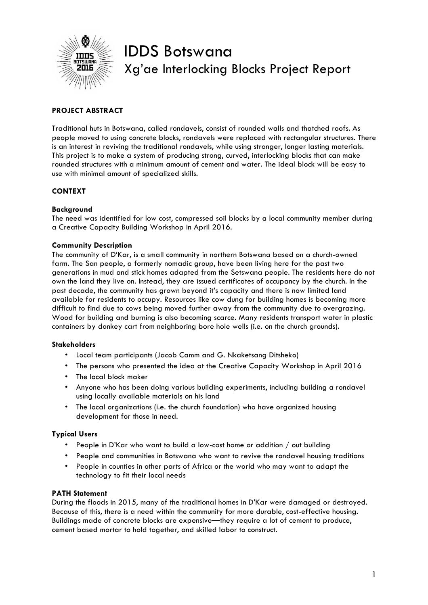

# IDDS Botswana Xg'ae Interlocking Blocks Project Report

# **PROJECT ABSTRACT**

Traditional huts in Botswana, called rondavels, consist of rounded walls and thatched roofs. As people moved to using concrete blocks, rondavels were replaced with rectangular structures. There is an interest in reviving the traditional rondavels, while using stronger, longer lasting materials. This project is to make a system of producing strong, curved, interlocking blocks that can make rounded structures with a minimum amount of cement and water. The ideal block will be easy to use with minimal amount of specialized skills.

# **CONTEXT**

# **Background**

The need was identified for low cost, compressed soil blocks by a local community member during a Creative Capacity Building Workshop in April 2016.

# **Community Description**

The community of D'Kar, is a small community in northern Botswana based on a church-owned farm. The San people, a formerly nomadic group, have been living here for the past two generations in mud and stick homes adapted from the Setswana people. The residents here do not own the land they live on. Instead, they are issued certificates of occupancy by the church. In the past decade, the community has grown beyond it's capacity and there is now limited land available for residents to occupy. Resources like cow dung for building homes is becoming more difficult to find due to cows being moved further away from the community due to overgrazing. Wood for building and burning is also becoming scarce. Many residents transport water in plastic containers by donkey cart from neighboring bore hole wells (i.e. on the church grounds).

# **Stakeholders**

- Local team participants (Jacob Camm and G. Nkaketsang Ditsheko)
- The persons who presented the idea at the Creative Capacity Workshop in April 2016
- The local block maker
- Anyone who has been doing various building experiments, including building a rondavel using locally available materials on his land
- The local organizations (i.e. the church foundation) who have organized housing development for those in need.

# **Typical Users**

- People in D'Kar who want to build a low-cost home or addition / out building
- People and communities in Botswana who want to revive the rondavel housing traditions
- People in counties in other parts of Africa or the world who may want to adapt the technology to fit their local needs

# **PATH Statement**

During the floods in 2015, many of the traditional homes in D'Kar were damaged or destroyed. Because of this, there is a need within the community for more durable, cost-effective housing. Buildings made of concrete blocks are expensive—they require a lot of cement to produce, cement based mortar to hold together, and skilled labor to construct.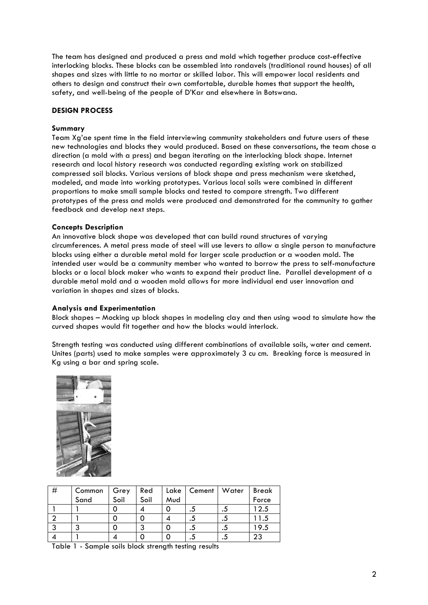The team has designed and produced a press and mold which together produce cost-effective interlocking blocks. These blocks can be assembled into rondavels (traditional round houses) of all shapes and sizes with little to no mortar or skilled labor. This will empower local residents and others to design and construct their own comfortable, durable homes that support the health, safety, and well-being of the people of D'Kar and elsewhere in Botswana.

#### **DESIGN PROCESS**

#### **Summary**

Team Xg'ae spent time in the field interviewing community stakeholders and future users of these new technologies and blocks they would produced. Based on these conversations, the team chose a direction (a mold with a press) and began iterating on the interlocking block shape. Internet research and local history research was conducted regarding existing work on stabilized compressed soil blocks. Various versions of block shape and press mechanism were sketched, modeled, and made into working prototypes. Various local soils were combined in different proportions to make small sample blocks and tested to compare strength. Two different prototypes of the press and molds were produced and demonstrated for the community to gather feedback and develop next steps.

#### **Concepts Description**

An innovative block shape was developed that can build round structures of varying circumferences. A metal press made of steel will use levers to allow a single person to manufacture blocks using either a durable metal mold for larger scale production or a wooden mold. The intended user would be a community member who wanted to borrow the press to self-manufacture blocks or a local block maker who wants to expand their product line. Parallel development of a durable metal mold and a wooden mold allows for more individual end user innovation and variation in shapes and sizes of blocks.

#### **Analysis and Experimentation**

Block shapes – Mocking up block shapes in modeling clay and then using wood to simulate how the curved shapes would fit together and how the blocks would interlock.

Strength testing was conducted using different combinations of available soils, water and cement. Unites (parts) used to make samples were approximately 3 cu cm. Breaking force is measured in Kg using a bar and spring scale.



| # | Common | Grey | Red  | Lake | Cement | Water | <b>Break</b> |
|---|--------|------|------|------|--------|-------|--------------|
|   | Sand   | Soil | Soil | Mud  |        |       | Force        |
|   |        |      |      |      | د.     | .     | 12.5         |
|   |        |      |      |      | د.     | د.    | 1.5          |
|   | ◠      |      | າ    |      | د.     | د.    | 19.5         |
|   |        |      |      |      | د.     | .     | 23           |

Table 1 - Sample soils block strength testing results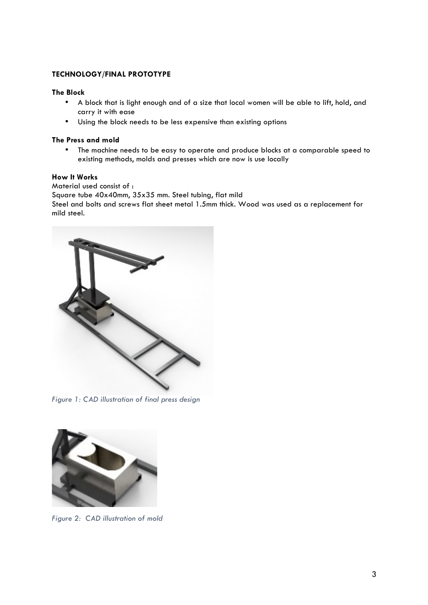# **TECHNOLOGY/FINAL PROTOTYPE**

# **The Block**

- A block that is light enough and of a size that local women will be able to lift, hold, and carry it with ease
- Using the block needs to be less expensive than existing options

#### **The Press and mold**

• The machine needs to be easy to operate and produce blocks at a comparable speed to existing methods, molds and presses which are now is use locally

#### **How It Works**

Material used consist of : Square tube 40x40mm, 35x35 mm. Steel tubing, flat mild Steel and bolts and screws flat sheet metal 1.5mm thick. Wood was used as a replacement for mild steel.



*Figure 1: CAD illustration of final press design* 



*Figure 2: CAD illustration of mold*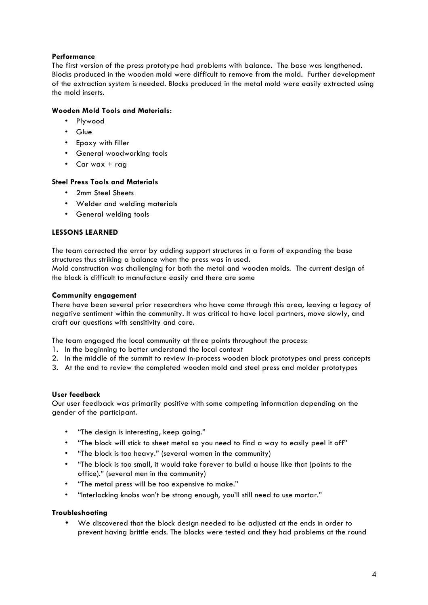# **Performance**

The first version of the press prototype had problems with balance. The base was lengthened. Blocks produced in the wooden mold were difficult to remove from the mold. Further development of the extraction system is needed. Blocks produced in the metal mold were easily extracted using the mold inserts.

# **Wooden Mold Tools and Materials:**

- Plywood
- Glue
- Epoxy with filler
- General woodworking tools
- Car wax  $+$  rag

# **Steel Press Tools and Materials**

- 2mm Steel Sheets
- Welder and welding materials
- General welding tools

# **LESSONS LEARNED**

The team corrected the error by adding support structures in a form of expanding the base structures thus striking a balance when the press was in used.

Mold construction was challenging for both the metal and wooden molds. The current design of the block is difficult to manufacture easily and there are some

# **Community engagement**

There have been several prior researchers who have come through this area, leaving a legacy of negative sentiment within the community. It was critical to have local partners, move slowly, and craft our questions with sensitivity and care.

The team engaged the local community at three points throughout the process:

- 1. In the beginning to better understand the local context
- 2. In the middle of the summit to review in-process wooden block prototypes and press concepts
- 3. At the end to review the completed wooden mold and steel press and molder prototypes

# **User feedback**

Our user feedback was primarily positive with some competing information depending on the gender of the participant.

- "The design is interesting, keep going."
- "The block will stick to sheet metal so you need to find a way to easily peel it off"
- "The block is too heavy." (several women in the community)
- "The block is too small, it would take forever to build a house like that (points to the office)." (several men in the community)
- "The metal press will be too expensive to make."
- "Interlocking knobs won't be strong enough, you'll still need to use mortar."

# **Troubleshooting**

• We discovered that the block design needed to be adjusted at the ends in order to prevent having brittle ends. The blocks were tested and they had problems at the round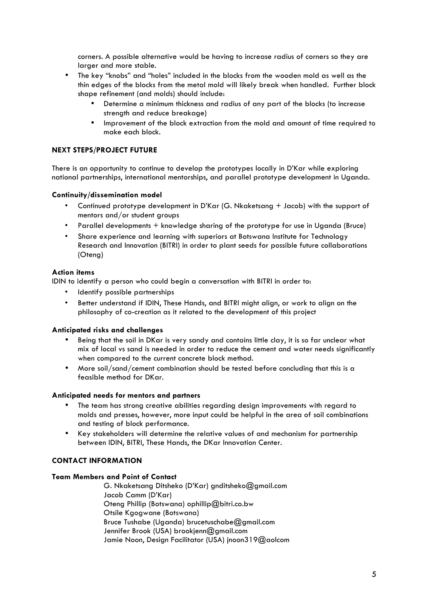corners. A possible alternative would be having to increase radius of corners so they are larger and more stable.

- The key "knobs" and "holes" included in the blocks from the wooden mold as well as the thin edges of the blocks from the metal mold will likely break when handled. Further block shape refinement (and molds) should include:
	- Determine a minimum thickness and radius of any part of the blocks (to increase strength and reduce breakage)
	- Improvement of the block extraction from the mold and amount of time required to make each block.

# **NEXT STEPS/PROJECT FUTURE**

There is an opportunity to continue to develop the prototypes locally in D'Kar while exploring national partnerships, international mentorships, and parallel prototype development in Uganda.

# **Continuity/dissemination model**

- Continued prototype development in D'Kar (G. Nkaketsang + Jacob) with the support of mentors and/or student groups
- Parallel developments + knowledge sharing of the prototype for use in Uganda (Bruce)
- Share experience and learning with superiors at Botswana Institute for Technology Research and Innovation (BITRI) in order to plant seeds for possible future collaborations (Oteng)

# **Action items**

IDIN to identify a person who could begin a conversation with BITRI in order to:

- Identify possible partnerships
- Better understand if IDIN, These Hands, and BITRI might align, or work to align on the philosophy of co-creation as it related to the development of this project

# **Anticipated risks and challenges**

- Being that the soil in DKar is very sandy and contains little clay, it is so far unclear what mix of local vs sand is needed in order to reduce the cement and water needs significantly when compared to the current concrete block method.
- More soil/sand/cement combination should be tested before concluding that this is a feasible method for DKar.

# **Anticipated needs for mentors and partners**

- The team has strong creative abilities regarding design improvements with regard to molds and presses, however, more input could be helpful in the area of soil combinations and testing of block performance.
- Key stakeholders will determine the relative values of and mechanism for partnership between IDIN, BITRI, These Hands, the DKar Innovation Center.

# **CONTACT INFORMATION**

# **Team Members and Point of Contact**

G. Nkaketsang Ditsheko (D'Kar) gnditsheko@gmail.com Jacob Camm (D'Kar) Oteng Phillip (Botswana) ophillip@bitri.co.bw Otsile Kgogwane (Botswana) Bruce Tushabe (Uganda) brucetuschabe@gmail.com Jennifer Brook (USA) brookjenn@gmail.com Jamie Noon, Design Facilitator (USA) jnoon319@aolcom